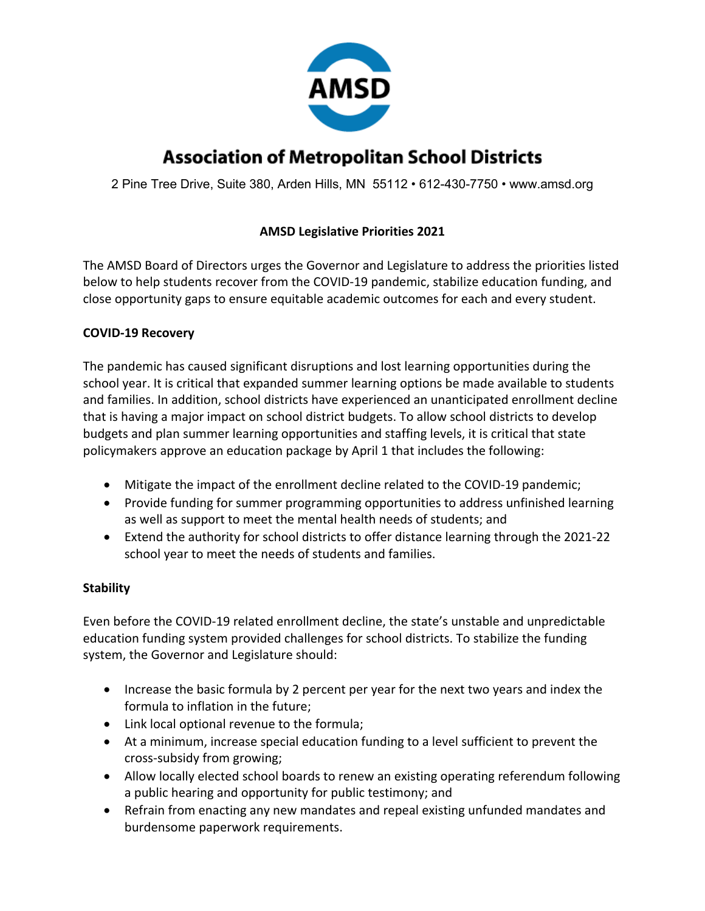

# **Association of Metropolitan School Districts**

2 Pine Tree Drive, Suite 380, Arden Hills, MN 55112 • 612-430-7750 • www.amsd.org

## **AMSD Legislative Priorities 2021**

The AMSD Board of Directors urges the Governor and Legislature to address the priorities listed below to help students recover from the COVID-19 pandemic, stabilize education funding, and close opportunity gaps to ensure equitable academic outcomes for each and every student.

#### **COVID-19 Recovery**

The pandemic has caused significant disruptions and lost learning opportunities during the school year. It is critical that expanded summer learning options be made available to students and families. In addition, school districts have experienced an unanticipated enrollment decline that is having a major impact on school district budgets. To allow school districts to develop budgets and plan summer learning opportunities and staffing levels, it is critical that state policymakers approve an education package by April 1 that includes the following:

- Mitigate the impact of the enrollment decline related to the COVID-19 pandemic;
- Provide funding for summer programming opportunities to address unfinished learning as well as support to meet the mental health needs of students; and
- Extend the authority for school districts to offer distance learning through the 2021-22 school year to meet the needs of students and families.

#### **Stability**

Even before the COVID-19 related enrollment decline, the state's unstable and unpredictable education funding system provided challenges for school districts. To stabilize the funding system, the Governor and Legislature should:

- Increase the basic formula by 2 percent per year for the next two years and index the formula to inflation in the future;
- Link local optional revenue to the formula;
- At a minimum, increase special education funding to a level sufficient to prevent the cross-subsidy from growing;
- Allow locally elected school boards to renew an existing operating referendum following a public hearing and opportunity for public testimony; and
- Refrain from enacting any new mandates and repeal existing unfunded mandates and burdensome paperwork requirements.